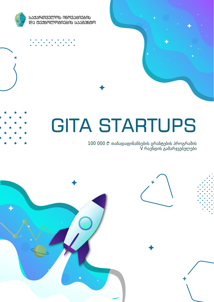

**ᲡᲐᲥᲐᲠᲗᲕᲔᲚᲝᲡ ᲘᲜᲝᲕᲐᲪᲘᲔᲑᲘᲡ @**d 0006mmman06nb 60060m

# GITA STARTUPS

#### 100 000 i თანადაფინანსების გრანტების პროგრამის V რაუნდის გამარჯვებულები

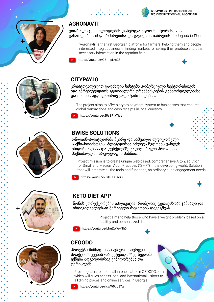



### **AGRONAVTI**

ციფრული ტექნოლოგიების დანერგვა აგრო სექტორისთვის განათლების, ინფორმირებისა და გაყიდვის ბაზრების მოძიების მიზნით.

"Agronavti" is the first Georgian platform for farmers, helping them and people interested in agrobusiness in finding markets for selling their produce and other necessary information in the agrarian field.

https://youtu.be/O2-hIpLraC8



#### **CITYPAY.IO**

კრიპტოვალუტით გადახდის სისტემა კომერციული სექტორისთვის. იგი უზრუნველყოფს გლობალური ტრანზაქციების განხორციელებასა და თანხის ადგილობრივ ვალუტაში მიღებას.

The project aims to offer a crypto payment system to businesses that ensures global transactions and cash receipts in local currency.

https://youtu.be/25sSPfxTias

#### **BWISE SOLUTIONS**

ონლაინ-პლატფორმა მცირე და საშუალო აუდიტორული საქმიანობისთვის. პლატფორმა იძლევა წვდომას უახლეს ინფორმაციასა და ფუნქციებზე აუდიტორული პროცესის მაქსიმალური სრულყოფის მიზნით.

Project mission is to create unique web-based, comprehensive A to Z solution for Small and Medium Audit Practices ("SMP") in the developing world. Solution, that will integrate all the tools and functions, an ordinary audit engagement needs

https://youtu.be/1d1CG3sczXE





წონის კორექტირების აპლიკაცია, რომელიც გვთავაზობს ჯანსაღი და ინდივიდუალურად შერჩეული რაციონის დაგეგმვას.

> Project aims to help those who have a weight problem, based on a healthy and personalized diet

https://youtu.be/blruZWWyNh0

## **OFOODO**

პროექტი მიზნად ისახავს ერთ სივრცეში მოაქციოს კვების ობიექტები,რაზეც წვდომა ექნება ადგილობრივ ვიზიტორებსა და ტურისტებს.

Project goal is to create all-in-one platform OFOODO.com, which will gives access local and international visitors to all dining places and online services in Georgia.



https://youtu.be/riswW5pb37g





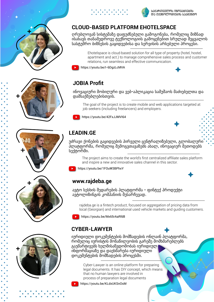





ᲡᲐᲥᲐᲠᲗᲕᲔᲚᲝᲡ ᲘᲜᲝᲕᲐᲪᲘᲔᲑᲘᲡ და ღევნოლოგიების სააგენტო

#### **CLOUD-BASED PLATFORM EHOTELSPACE**

ღრუბლოვან სისტემაზე დაფუძნებული გამოგონება, რომელიც მიზნად ისახავს თანამედროვე ტექნოლოგიის გამოყენებით სრულად შეცვალოს სასტუმრო ბიზნესის გაყიდვებისა და სერვისის არსებული პროცესი.

> Ehotelspace is cloud-based solution for all type of property (hotel, hostel, apartment and act.) to manage comprehensive sales process and customer relations, run seamless and effective communication.



https://youtu.be/I-6DgzLcMVA











ინოვაციური მობილური და ვებ-აპლიკაცია სამუშაოს მაძიებელთა და დამსაქმებლებისთვის.

The goal of the project is to create mobile and web applications targeted at job seekers (including freelancers) and employers.

https://youtu.be/42FxJJMVI64

#### **LEADIN.GE**

უძრავი ქონების გაყიდვების პირველი ცენტრალიზებული, გლობალური პლატფორმა, რომელიც შემოგვთავაზებს ახალ, ინოვაციურ მეთოდებს სექტორში.

The project aims to create the world's first centralized affiliate sales platform and inspire a new and innovative sales channel in this sector.

https://youtu.be/1FOuW3BPhxY

#### **www.rajdeba.ge**

ავტო სესხის შედარების პლატფორმა - ფინტექ პროდუქტი ავტოლიზინგის კომპანიის შესარჩევად.

rajdeba.ge is a fintech product, focused on aggregation of pricing data from local (Georgian) and international used vehicle markets and guiding customers.

https://youtu.be/Mx65rAaRfd8

#### **CYBER-LAWYER**

იურიდიული დოკუმენტების მომზადების ონლაინ პლატფორმა, რომელიც იურისტის მონაწილეობის გარეშე მომხმარებლებს გაუმარტივებს ხელმისაწვდომობას იურიდიულ ინფორმაციაზე და დაეხმარება იურიდიული დოკუმენტების მომზადების პროცესში.

> Cyber-Lawyer is an online platform for preparing legal documents. It has DIY concept, which means that no human lawyers are involved in process of preparation legal documents

https://youtu.be/KLdxUKSnOsM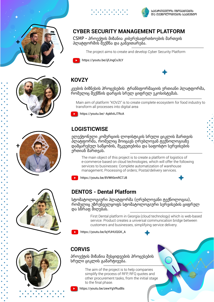





ᲡᲐᲥᲐᲠᲗᲕᲔᲚᲝᲡ ᲘᲜᲝᲕᲐᲪᲘᲔᲑᲘᲡ და ღევნოლოგიების სააგენტო

#### **CYBER SECURITY MANAGEMENT PLATFORM**

CSMP - პროექტის მიზანია კიბერუსაფრთხოების მართვის პლატფორმის შექმნა და განვითარება.

The project aims to create and develop Cyber Security Platform



### **KOVZY**

კვების ბიზნესის პროცესების ტრანსფორმაციის ერთიანი პლატფორმა, რომელიც შექმნის დარგის სრულ ციფრულ ეკოსისტემას.

Main aim of platform "KOVZI" is to create complete ecosystem for food industry to transform all processes into digital area

https://youtu.be/-ApkhAJ7RcA

#### **LOGISTICWISE**

ელექტონული კომერციის ლოჯისტიკის სრული ციკლის მართვის პლატფორმა, რომელიც მოიცავს ღრუბლოვან ტექნოლოგიაზე დამყარებულ საწყობის, შეკვეთებისა და საფოსტო სერვისების ერთიან მართვას.

The main object of this project is to create a platform of logistics of e-commerce based on cloud technologies, which will offer the following services to businesses: Complete automatization of warehouse management; Processing of orders; Postal/delivery services.

https://youtu.be/8VWKkmRC7J8



#### **DENTOS - Dental Platform**

სტომატოლოგიური პლატფორმა (ღრუბლოვანი ტექნოლოგია), რომელიც უზრუნველყოფს სტომატოლოგიური სერვისების ციფრულ და სწრაფ მიღებას.

> First Dental platform in Georgia (cloud technology) which is web-based service. Product creates a universal communication bridge between customers and businesses, simplifying service delivery.

https://youtu.be/lqYUHUQGK\_A



### **CORVIS**

პროექტის მიზანია შესყიდვების პროცესების სრული ციკლის გამარტივება.

> The aim of the project is to help companies simplify the process of RFP, RFQ quotes and other procurement tasks, from the initial stage to the final phase.

https://youtu.be/zewYgVRud8s





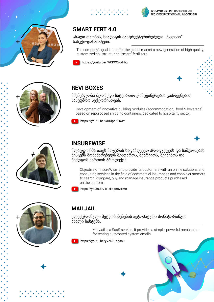



ახალი თაობის, ნიადაგის მასტრუქტურირებელი "ჭკვიანი" სასუქი-დანამატები.

The company's goal is to offer the global market a new generation of high-quality, customized soil-structuring "smart" fertilizers.



https://youtu.be/fWCKW6KxFhg

. . . . . . . . .<br>. . . . . . . .



ᲡᲐᲥᲐᲠᲗᲕᲔᲚᲝᲡ ᲘᲜᲝᲕᲐᲪᲘᲔᲑᲘᲡ

**@**add6mmmanaanb baaad60m





მშენებლობა მეორედი სატვირთო კონტეინერების გამოყენებით სასტუმრო სექტორისთვის.

Development of innovative building modules (accommodation, food & beverage) based on repurposed shipping containers, dedicated to hospitality sector.

https://youtu.be/GRDlpaZuK3Y





#### **INSUREWISE**

პლატფორმა თავს მოუყრის სადაზღვევო პროდუქტებს და საშუალებას მისცემს მომხმარებელს შეადაროს, შეარჩიოს, შეიძინოს და შემდგომ მართოს პროდუქტი.

Objective of InsureWise is to provide its customers with an online solutions and consulting services in the field of commercial insurances and enable customers to search, compare, buy and manage insurance products purchased on the platform





#### **MAILJAIL**

ელექტრონული შეტყობინებების ავტომატური მონიტორინგის ახალი სისტემა.

> MailJail is a SaaS service. It provides a simple, powerful mechanism for testing automated system emails.